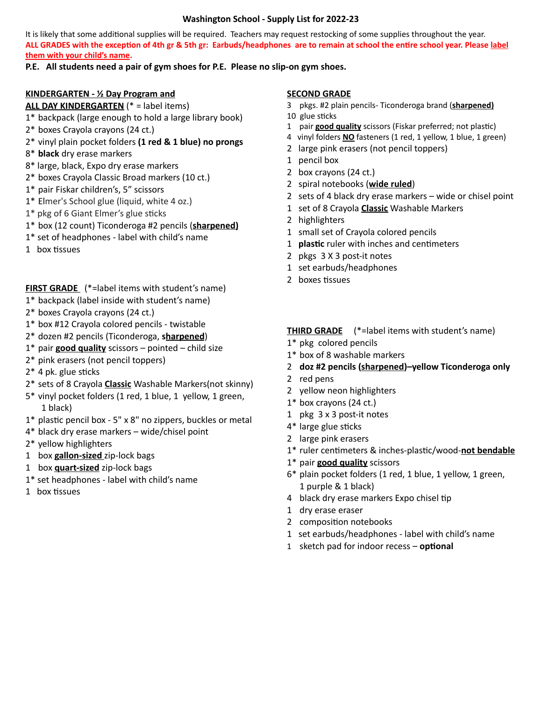## **Washington School - Supply List for 2022-23**

It is likely that some additional supplies will be required. Teachers may request restocking of some supplies throughout the year. ALL GRADES with the exception of 4th gr & 5th gr: Earbuds/headphones are to remain at school the entire school year. Please label **them with your child's name.**

# **P.E. All students need a pair of gym shoes for P.E. Please no slip-on gym shoes.**

## **KINDERGARTEN - ½ Day Program and**

## **ALL DAY KINDERGARTEN** (\* = label items)

- 1\* backpack (large enough to hold a large library book)
- 2\* boxes Crayola crayons (24 ct.)

# 2\* vinyl plain pocket folders **(1 red & 1 blue) no prongs**

- 8\* **black** dry erase markers
- 8\* large, black, Expo dry erase markers
- 2\* boxes Crayola Classic Broad markers (10 ct.)
- 1\* pair Fiskar children's, 5" scissors
- 1\* Elmer's School glue (liquid, white 4 oz.)
- $1*$  pkg of 6 Giant Elmer's glue sticks
- 1\* box (12 count) Ticonderoga #2 pencils (**sharpened)**
- 1\* set of headphones label with child's name
- $1$  box tissues

# **FIRST GRADE** (\*=label items with student's name)

- 1\* backpack (label inside with student's name)
- 2\* boxes Crayola crayons (24 ct.)
- 1\* box #12 Crayola colored pencils twistable
- 2\* dozen #2 pencils (Ticonderoga, **sharpened**)
- 1\* pair **good quality** scissors pointed child size
- 2\* pink erasers (not pencil toppers)
- $2*$  4 pk. glue sticks
- 2\* sets of 8 Crayola **Classic** Washable Markers(not skinny)
- 5\* vinyl pocket folders (1 red, 1 blue, 1 yellow, 1 green, 1 black)
- $1*$  plastic pencil box 5" x 8" no zippers, buckles or metal
- 4\* black dry erase markers wide/chisel point
- 2\* yellow highlighters
- 1 box **gallon-sized** zip-lock bags
- 1 box **quart-sized** zip-lock bags
- 1\* set headphones label with child's name
- $1$  box tissues

#### **SECOND GRADE**

- 3 pkgs. #2 plain pencils- Ticonderoga brand (**sharpened)**
- 10 glue sticks
- 1 pair **good quality** scissors (Fiskar preferred; not plastic)
- 4 vinyl folders **NO** fasteners (1 red, 1 yellow, 1 blue, 1 green)
- 2 large pink erasers (not pencil toppers)
- 1 pencil box
- 2 box crayons (24 ct.)
- 2 spiral notebooks (**wide ruled**)
- 2 sets of 4 black dry erase markers wide or chisel point
- 1 set of 8 Crayola **Classic** Washable Markers
- 2 highlighters
- 1 small set of Crayola colored pencils
- 1 **plastic** ruler with inches and centimeters
- 2 pkgs 3 X 3 post-it notes
- 1 set earbuds/headphones
- 2 boxes tissues

## **THIRD GRADE** (\*=label items with student's name)

- 1\* pkg colored pencils
- 1\* box of 8 washable markers
- 2 **doz #2 pencils (sharpened)–yellow Ticonderoga only**
- 2 red pens
- 2 yellow neon highlighters
- 1\* box crayons (24 ct.)
- 1 pkg 3 x 3 post-it notes
- 4\* large glue sticks
- 2 large pink erasers
- 1<sup>\*</sup> ruler centimeters & inches-plastic/wood-not bendable
- 1\* pair **good quality** scissors
- 6\* plain pocket folders (1 red, 1 blue, 1 yellow, 1 green, 1 purple & 1 black)
- 4 black dry erase markers Expo chisel tip
- 1 dry erase eraser
- 2 composition notebooks
- 1 set earbuds/headphones label with child's name
- 1 sketch pad for indoor recess **optional**